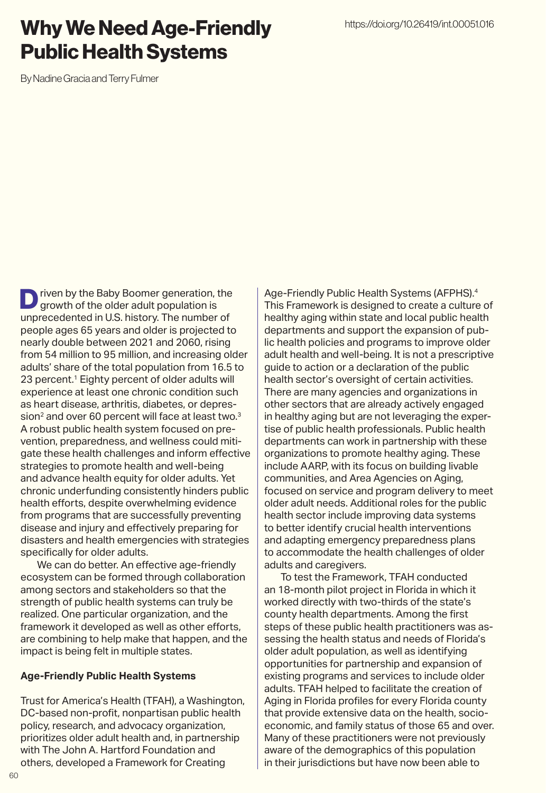## Why We Need Age-Friendly Public Health Systems

By Nadine Gracia and Terry Fulmer

riven by the Baby Boomer generation, the growth of the older adult population is unprecedented in U.S. history. The number of people ages 65 years and older is projected to nearly double between 2021 and 2060, rising from 54 million to 95 million, and increasing older adults' share of the total population from 16.5 to 23 percent.<sup>1</sup> Eighty percent of older adults will experience at least one chronic condition such as heart disease, arthritis, diabetes, or depression<sup>2</sup> and over 60 percent will face at least two.<sup>3</sup> A robust public health system focused on prevention, preparedness, and wellness could mitigate these health challenges and inform effective strategies to promote health and well-being and advance health equity for older adults. Yet chronic underfunding consistently hinders public health efforts, despite overwhelming evidence from programs that are successfully preventing disease and injury and effectively preparing for disasters and health emergencies with strategies specifically for older adults.

We can do better. An effective age-friendly ecosystem can be formed through collaboration among sectors and stakeholders so that the strength of public health systems can truly be realized. One particular organization, and the framework it developed as well as other efforts, are combining to help make that happen, and the impact is being felt in multiple states.

#### **Age-Friendly Public Health Systems**

Trust for America's Health (TFAH), a Washington, DC-based non-profit, nonpartisan public health policy, research, and advocacy organization, prioritizes older adult health and, in partnership with The John A. Hartford Foundation and others, developed a Framework for Creating

Age-Friendly Public Health Systems (AFPHS).4 This Framework is designed to create a culture of healthy aging within state and local public health departments and support the expansion of public health policies and programs to improve older adult health and well-being. It is not a prescriptive guide to action or a declaration of the public health sector's oversight of certain activities. There are many agencies and organizations in other sectors that are already actively engaged in healthy aging but are not leveraging the expertise of public health professionals. Public health departments can work in partnership with these organizations to promote healthy aging. These include AARP, with its focus on building livable communities, and Area Agencies on Aging, focused on service and program delivery to meet older adult needs. Additional roles for the public health sector include improving data systems to better identify crucial health interventions and adapting emergency preparedness plans to accommodate the health challenges of older adults and caregivers.

To test the Framework, TFAH conducted an 18-month pilot project in Florida in which it worked directly with two-thirds of the state's county health departments. Among the first steps of these public health practitioners was assessing the health status and needs of Florida's older adult population, as well as identifying opportunities for partnership and expansion of existing programs and services to include older adults. TFAH helped to facilitate the creation of Aging in Florida profiles for every Florida county that provide extensive data on the health, socioeconomic, and family status of those 65 and over. Many of these practitioners were not previously aware of the demographics of this population in their jurisdictions but have now been able to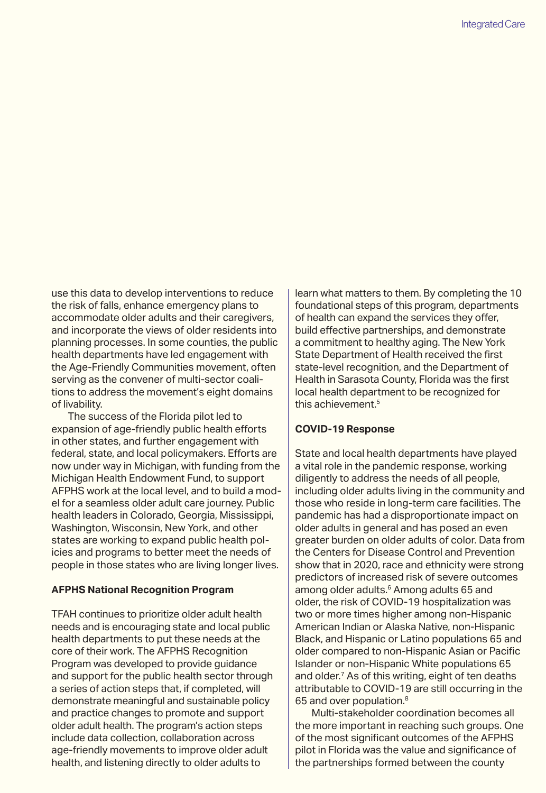use this data to develop interventions to reduce the risk of falls, enhance emergency plans to accommodate older adults and their caregivers, and incorporate the views of older residents into planning processes. In some counties, the public health departments have led engagement with the Age-Friendly Communities movement, often serving as the convener of multi-sector coalitions to address the movement's eight domains of livability.

The success of the Florida pilot led to expansion of age-friendly public health efforts in other states, and further engagement with federal, state, and local policymakers. Efforts are now under way in Michigan, with funding from the Michigan Health Endowment Fund, to support AFPHS work at the local level, and to build a model for a seamless older adult care journey. Public health leaders in Colorado, Georgia, Mississippi, Washington, Wisconsin, New York, and other states are working to expand public health policies and programs to better meet the needs of people in those states who are living longer lives.

#### **AFPHS National Recognition Program**

TFAH continues to prioritize older adult health needs and is encouraging state and local public health departments to put these needs at the core of their work. The AFPHS Recognition Program was developed to provide guidance and support for the public health sector through a series of action steps that, if completed, will demonstrate meaningful and sustainable policy and practice changes to promote and support older adult health. The program's action steps include data collection, collaboration across age-friendly movements to improve older adult health, and listening directly to older adults to

learn what matters to them. By completing the 10 foundational steps of this program, departments of health can expand the services they offer, build effective partnerships, and demonstrate a commitment to healthy aging. The New York State Department of Health received the first state-level recognition, and the Department of Health in Sarasota County, Florida was the first local health department to be recognized for this achievement.<sup>5</sup>

#### **COVID-19 Response**

State and local health departments have played a vital role in the pandemic response, working diligently to address the needs of all people, including older adults living in the community and those who reside in long-term care facilities. The pandemic has had a disproportionate impact on older adults in general and has posed an even greater burden on older adults of color. Data from the Centers for Disease Control and Prevention show that in 2020, race and ethnicity were strong predictors of increased risk of severe outcomes among older adults.<sup>6</sup> Among adults 65 and older, the risk of COVID-19 hospitalization was two or more times higher among non-Hispanic American Indian or Alaska Native, non-Hispanic Black, and Hispanic or Latino populations 65 and older compared to non-Hispanic Asian or Pacific Islander or non-Hispanic White populations 65 and older.7 As of this writing, eight of ten deaths attributable to COVID-19 are still occurring in the 65 and over population.8

Multi-stakeholder coordination becomes all the more important in reaching such groups. One of the most significant outcomes of the AFPHS pilot in Florida was the value and significance of the partnerships formed between the county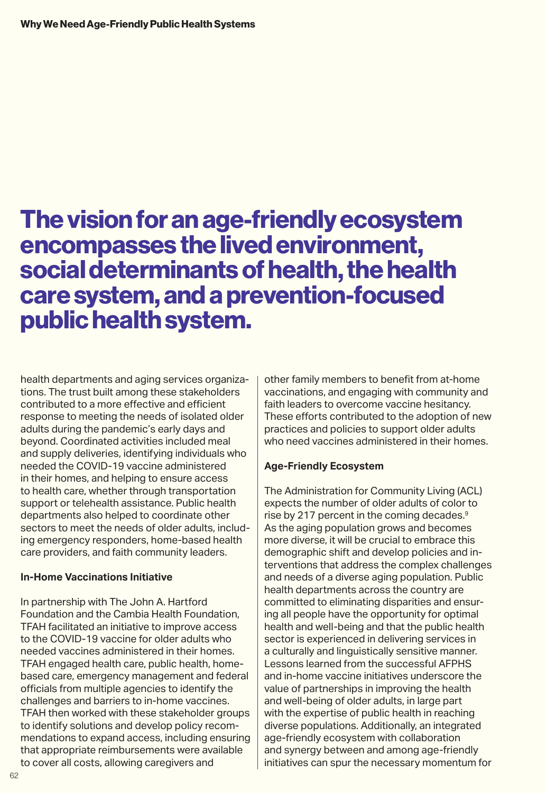# The vision for an age-friendly ecosystem encompasses the lived environment, social determinants of health, the health care system, and a prevention-focused public health system.

health departments and aging services organizations. The trust built among these stakeholders contributed to a more effective and efficient response to meeting the needs of isolated older adults during the pandemic's early days and beyond. Coordinated activities included meal and supply deliveries, identifying individuals who needed the COVID-19 vaccine administered in their homes, and helping to ensure access to health care, whether through transportation support or telehealth assistance. Public health departments also helped to coordinate other sectors to meet the needs of older adults, including emergency responders, home-based health care providers, and faith community leaders.

#### **In-Home Vaccinations Initiative**

In partnership with The John A. Hartford Foundation and the Cambia Health Foundation, TFAH facilitated an initiative to improve access to the COVID-19 vaccine for older adults who needed vaccines administered in their homes. TFAH engaged health care, public health, homebased care, emergency management and federal officials from multiple agencies to identify the challenges and barriers to in-home vaccines. TFAH then worked with these stakeholder groups to identify solutions and develop policy recommendations to expand access, including ensuring that appropriate reimbursements were available to cover all costs, allowing caregivers and

other family members to benefit from at-home vaccinations, and engaging with community and faith leaders to overcome vaccine hesitancy. These efforts contributed to the adoption of new practices and policies to support older adults who need vaccines administered in their homes.

### **Age-Friendly Ecosystem**

The Administration for Community Living (ACL) expects the number of older adults of color to rise by 217 percent in the coming decades.<sup>9</sup> As the aging population grows and becomes more diverse, it will be crucial to embrace this demographic shift and develop policies and interventions that address the complex challenges and needs of a diverse aging population. Public health departments across the country are committed to eliminating disparities and ensuring all people have the opportunity for optimal health and well-being and that the public health sector is experienced in delivering services in a culturally and linguistically sensitive manner. Lessons learned from the successful AFPHS and in-home vaccine initiatives underscore the value of partnerships in improving the health and well-being of older adults, in large part with the expertise of public health in reaching diverse populations. Additionally, an integrated age-friendly ecosystem with collaboration and synergy between and among age-friendly initiatives can spur the necessary momentum for